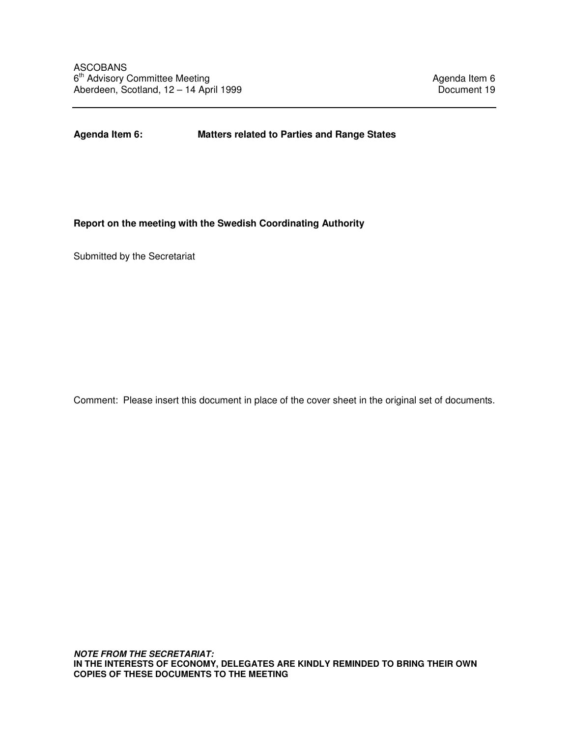**Agenda Item 6: Matters related to Parties and Range States** 

# **Report on the meeting with the Swedish Coordinating Authority**

Submitted by the Secretariat

Comment: Please insert this document in place of the cover sheet in the original set of documents.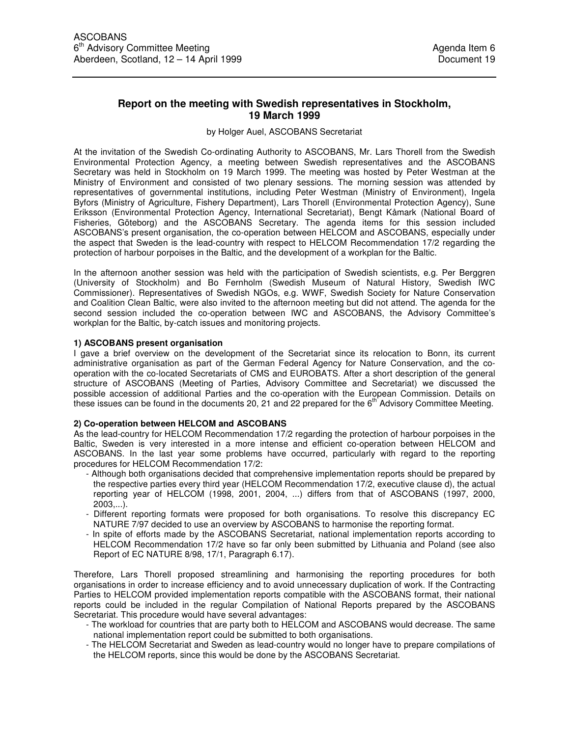## **Report on the meeting with Swedish representatives in Stockholm, 19 March 1999**

#### by Holger Auel, ASCOBANS Secretariat

At the invitation of the Swedish Co-ordinating Authority to ASCOBANS, Mr. Lars Thorell from the Swedish Environmental Protection Agency, a meeting between Swedish representatives and the ASCOBANS Secretary was held in Stockholm on 19 March 1999. The meeting was hosted by Peter Westman at the Ministry of Environment and consisted of two plenary sessions. The morning session was attended by representatives of governmental institutions, including Peter Westman (Ministry of Environment), Ingela Byfors (Ministry of Agriculture, Fishery Department), Lars Thorell (Environmental Protection Agency), Sune Eriksson (Environmental Protection Agency, International Secretariat), Bengt Kåmark (National Board of Fisheries, Göteborg) and the ASCOBANS Secretary. The agenda items for this session included ASCOBANS's present organisation, the co-operation between HELCOM and ASCOBANS, especially under the aspect that Sweden is the lead-country with respect to HELCOM Recommendation 17/2 regarding the protection of harbour porpoises in the Baltic, and the development of a workplan for the Baltic.

In the afternoon another session was held with the participation of Swedish scientists, e.g. Per Berggren (University of Stockholm) and Bo Fernholm (Swedish Museum of Natural History, Swedish IWC Commissioner). Representatives of Swedish NGOs, e.g. WWF, Swedish Society for Nature Conservation and Coalition Clean Baltic, were also invited to the afternoon meeting but did not attend. The agenda for the second session included the co-operation between IWC and ASCOBANS, the Advisory Committee's workplan for the Baltic, by-catch issues and monitoring projects.

#### **1) ASCOBANS present organisation**

I gave a brief overview on the development of the Secretariat since its relocation to Bonn, its current administrative organisation as part of the German Federal Agency for Nature Conservation, and the cooperation with the co-located Secretariats of CMS and EUROBATS. After a short description of the general structure of ASCOBANS (Meeting of Parties, Advisory Committee and Secretariat) we discussed the possible accession of additional Parties and the co-operation with the European Commission. Details on these issues can be found in the documents 20, 21 and 22 prepared for the  $6<sup>th</sup>$  Advisory Committee Meeting.

#### **2) Co-operation between HELCOM and ASCOBANS**

As the lead-country for HELCOM Recommendation 17/2 regarding the protection of harbour porpoises in the Baltic, Sweden is very interested in a more intense and efficient co-operation between HELCOM and ASCOBANS. In the last year some problems have occurred, particularly with regard to the reporting procedures for HELCOM Recommendation 17/2:

- Although both organisations decided that comprehensive implementation reports should be prepared by the respective parties every third year (HELCOM Recommendation 17/2, executive clause d), the actual reporting year of HELCOM (1998, 2001, 2004, ...) differs from that of ASCOBANS (1997, 2000, 2003,...).
- Different reporting formats were proposed for both organisations. To resolve this discrepancy EC NATURE 7/97 decided to use an overview by ASCOBANS to harmonise the reporting format.
- In spite of efforts made by the ASCOBANS Secretariat, national implementation reports according to HELCOM Recommendation 17/2 have so far only been submitted by Lithuania and Poland (see also Report of EC NATURE 8/98, 17/1, Paragraph 6.17).

Therefore, Lars Thorell proposed streamlining and harmonising the reporting procedures for both organisations in order to increase efficiency and to avoid unnecessary duplication of work. If the Contracting Parties to HELCOM provided implementation reports compatible with the ASCOBANS format, their national reports could be included in the regular Compilation of National Reports prepared by the ASCOBANS Secretariat. This procedure would have several advantages:

- The workload for countries that are party both to HELCOM and ASCOBANS would decrease. The same national implementation report could be submitted to both organisations.
- The HELCOM Secretariat and Sweden as lead-country would no longer have to prepare compilations of the HELCOM reports, since this would be done by the ASCOBANS Secretariat.